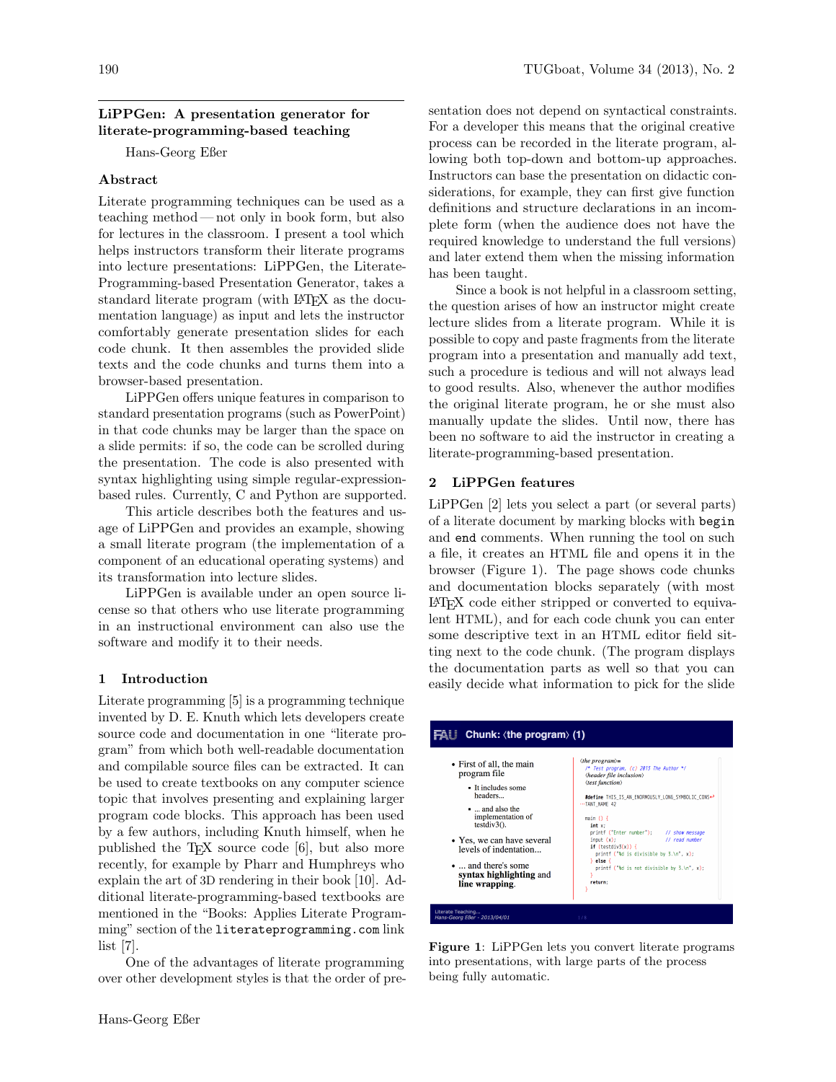# LiPPGen: A presentation generator for literate-programming-based teaching

Hans-Georg Eßer

# Abstract

Literate programming techniques can be used as a teaching method— not only in book form, but also for lectures in the classroom. I present a tool which helps instructors transform their literate programs into lecture presentations: LiPPGen, the Literate-Programming-based Presentation Generator, takes a standard literate program (with LAT<sub>EX</sub> as the documentation language) as input and lets the instructor comfortably generate presentation slides for each code chunk. It then assembles the provided slide texts and the code chunks and turns them into a browser-based presentation.

LiPPGen offers unique features in comparison to standard presentation programs (such as PowerPoint) in that code chunks may be larger than the space on a slide permits: if so, the code can be scrolled during the presentation. The code is also presented with syntax highlighting using simple regular-expressionbased rules. Currently, C and Python are supported.

This article describes both the features and usage of LiPPGen and provides an example, showing a small literate program (the implementation of a component of an educational operating systems) and its transformation into lecture slides.

LiPPGen is available under an open source license so that others who use literate programming in an instructional environment can also use the software and modify it to their needs.

#### 1 Introduction

Literate programming [\[5\]](#page-3-0) is a programming technique invented by D. E. Knuth which lets developers create source code and documentation in one "literate program" from which both well-readable documentation and compilable source files can be extracted. It can be used to create textbooks on any computer science topic that involves presenting and explaining larger program code blocks. This approach has been used by a few authors, including Knuth himself, when he published the TEX source code [\[6\]](#page-3-1), but also more recently, for example by Pharr and Humphreys who explain the art of 3D rendering in their book [\[10\]](#page-3-2). Additional literate-programming-based textbooks are mentioned in the "Books: Applies Literate Programming" section of the literateprogramming.com link list [\[7\]](#page-3-3).

One of the advantages of literate programming over other development styles is that the order of presentation does not depend on syntactical constraints. For a developer this means that the original creative process can be recorded in the literate program, allowing both top-down and bottom-up approaches. Instructors can base the presentation on didactic considerations, for example, they can first give function definitions and structure declarations in an incomplete form (when the audience does not have the required knowledge to understand the full versions) and later extend them when the missing information has been taught.

Since a book is not helpful in a classroom setting, the question arises of how an instructor might create lecture slides from a literate program. While it is possible to copy and paste fragments from the literate program into a presentation and manually add text, such a procedure is tedious and will not always lead to good results. Also, whenever the author modifies the original literate program, he or she must also manually update the slides. Until now, there has been no software to aid the instructor in creating a literate-programming-based presentation.

# 2 LiPPGen features

LiPPGen [\[2\]](#page-3-4) lets you select a part (or several parts) of a literate document by marking blocks with begin and end comments. When running the tool on such a file, it creates an HTML file and opens it in the browser (Figure [1\)](#page-0-0). The page shows code chunks and documentation blocks separately (with most LATEX code either stripped or converted to equivalent HTML), and for each code chunk you can enter some descriptive text in an HTML editor field sitting next to the code chunk. (The program displays the documentation parts as well so that you can easily decide what information to pick for the slide

#### $FAll$  Chunk:  $\langle$ the program $\rangle$  (1) the program)=<br>/\* Test program, (c) 2013 The Author \*/<br>\header file inclusion\<br>\test function\ the program $\rangle =$ • First of all, the main program file - It includes some headers #define THIS\_IS\_AN\_ENORMOUSLY\_LONG\_SYMBOLIC\_CONS+<br>TANT\_NAME 42 ... and also the implementation of<br>testdiv3 $\Omega$ . main  $\overline{O}$   $I$  $int x$ ;<br>  $print f ("Enter number"))$ ; // show message<br>// read number • Yes, we can have several  $if (testdiv3(x))$ levels of indentation. intf ("%d is divisible by 3.\n", x); } else ... and there's some  $print f ("d is not divisible by 3.\n', x)$ syntax highlighting and line wrapping. return eaching...<br>*rg Eßer - 2013/04/01*

<span id="page-0-0"></span>Figure 1: LiPPGen lets you convert literate programs into presentations, with large parts of the process being fully automatic.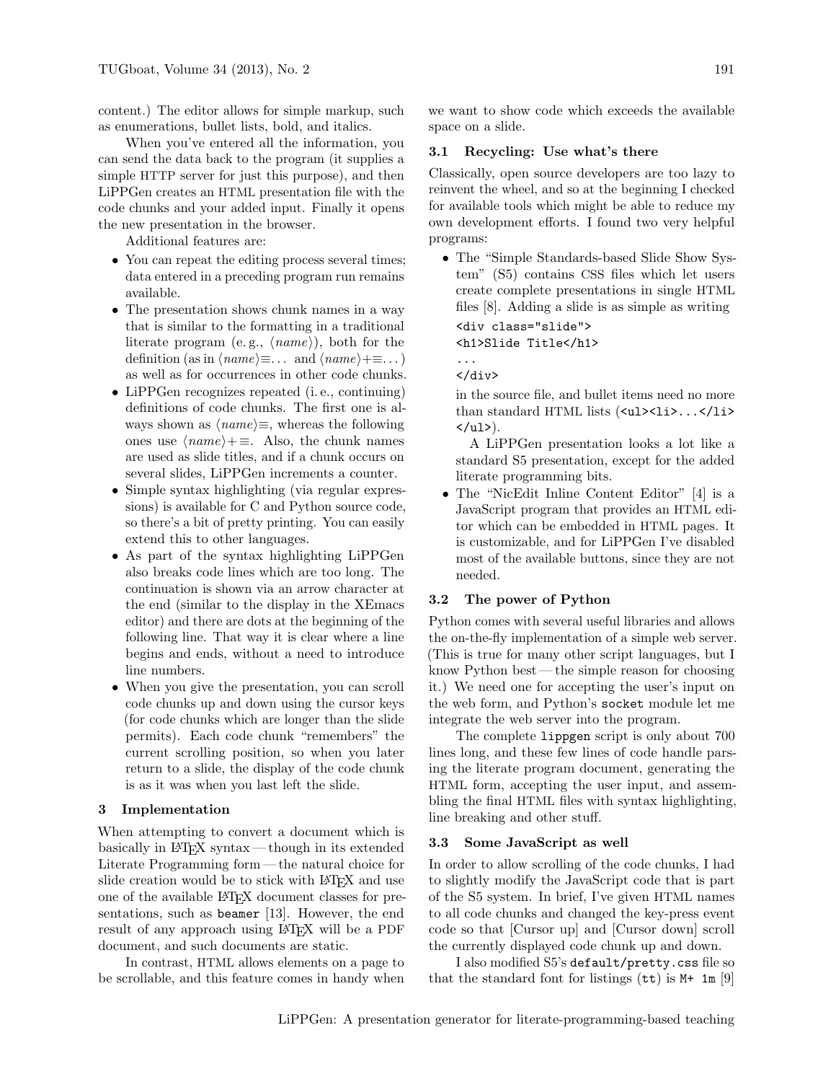content.) The editor allows for simple markup, such as enumerations, bullet lists, bold, and italics.

When you've entered all the information, you can send the data back to the program (it supplies a simple HTTP server for just this purpose), and then LiPPGen creates an HTML presentation file with the code chunks and your added input. Finally it opens the new presentation in the browser.

Additional features are:

- You can repeat the editing process several times; data entered in a preceding program run remains available.
- The presentation shows chunk names in a way that is similar to the formatting in a traditional literate program (e.g.,  $\langle name \rangle$ ), both for the definition (as in  $\langle name \rangle \equiv \ldots$  and  $\langle name \rangle + \equiv \ldots$  ) as well as for occurrences in other code chunks.
- LiPPGen recognizes repeated (i.e., continuing) definitions of code chunks. The first one is always shown as  $\langle name \rangle \equiv$ , whereas the following ones use  $\langle name \rangle+=$ . Also, the chunk names are used as slide titles, and if a chunk occurs on several slides, LiPPGen increments a counter.
- Simple syntax highlighting (via regular expressions) is available for C and Python source code, so there's a bit of pretty printing. You can easily extend this to other languages.
- As part of the syntax highlighting LiPPGen also breaks code lines which are too long. The continuation is shown via an arrow character at the end (similar to the display in the XEmacs editor) and there are dots at the beginning of the following line. That way it is clear where a line begins and ends, without a need to introduce line numbers.
- When you give the presentation, you can scroll code chunks up and down using the cursor keys (for code chunks which are longer than the slide permits). Each code chunk "remembers" the current scrolling position, so when you later return to a slide, the display of the code chunk is as it was when you last left the slide.

#### 3 Implementation

When attempting to convert a document which is basically in LATEX syntax— though in its extended Literate Programming form — the natural choice for slide creation would be to stick with LAT<sub>EX</sub> and use one of the available LATEX document classes for presentations, such as beamer [\[13\]](#page-4-0). However, the end result of any approach using LAT<sub>EX</sub> will be a PDF document, and such documents are static.

In contrast, HTML allows elements on a page to be scrollable, and this feature comes in handy when we want to show code which exceeds the available space on a slide.

#### 3.1 Recycling: Use what's there

Classically, open source developers are too lazy to reinvent the wheel, and so at the beginning I checked for available tools which might be able to reduce my own development efforts. I found two very helpful programs:

• The "Simple Standards-based Slide Show System" (S5) contains CSS files which let users create complete presentations in single HTML files [\[8\]](#page-3-5). Adding a slide is as simple as writing

<div class="slide"> <h1>Slide Title</h1> ...

</div>

in the source file, and bullet items need no more than standard HTML lists  $(xul>- ...$  $\langle \text{ul}\rangle$ .

A LiPPGen presentation looks a lot like a standard S5 presentation, except for the added literate programming bits.

• The "NicEdit Inline Content Editor" [\[4\]](#page-3-6) is a JavaScript program that provides an HTML editor which can be embedded in HTML pages. It is customizable, and for LiPPGen I've disabled most of the available buttons, since they are not needed.

## 3.2 The power of Python

Python comes with several useful libraries and allows the on-the-fly implementation of a simple web server. (This is true for many other script languages, but I know Python best — the simple reason for choosing it.) We need one for accepting the user's input on the web form, and Python's socket module let me integrate the web server into the program.

The complete lippgen script is only about 700 lines long, and these few lines of code handle parsing the literate program document, generating the HTML form, accepting the user input, and assembling the final HTML files with syntax highlighting, line breaking and other stuff.

#### 3.3 Some JavaScript as well

In order to allow scrolling of the code chunks, I had to slightly modify the JavaScript code that is part of the S5 system. In brief, I've given HTML names to all code chunks and changed the key-press event code so that [Cursor up] and [Cursor down] scroll the currently displayed code chunk up and down.

I also modified S5's default/pretty.css file so that the standard font for listings  $(\texttt{tt})$  is  $M+ 1m$  [\[9\]](#page-3-7)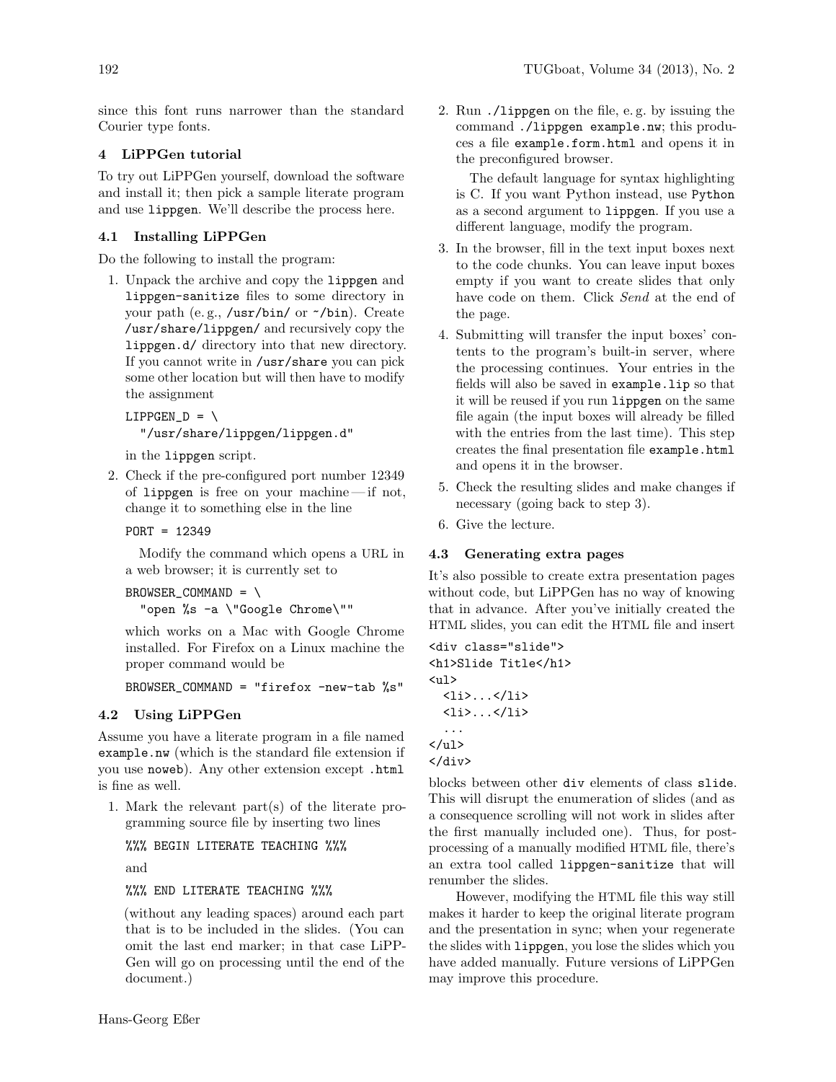since this font runs narrower than the standard Courier type fonts.

# 4 LiPPGen tutorial

To try out LiPPGen yourself, download the software and install it; then pick a sample literate program and use lippgen. We'll describe the process here.

# 4.1 Installing LiPPGen

Do the following to install the program:

1. Unpack the archive and copy the lippgen and lippgen-sanitize files to some directory in your path (e. g., /usr/bin/ or ~/bin). Create /usr/share/lippgen/ and recursively copy the lippgen.d/ directory into that new directory. If you cannot write in /usr/share you can pick some other location but will then have to modify the assignment

```
LIPPGEN_D = \"/usr/share/lippgen/lippgen.d"
```
in the lippgen script.

2. Check if the pre-configured port number 12349 of lippgen is free on your machine— if not, change it to something else in the line

PORT = 12349

Modify the command which opens a URL in a web browser; it is currently set to

BROWSER\_COMMAND = \ "open %s -a \"Google Chrome\""

which works on a Mac with Google Chrome installed. For Firefox on a Linux machine the proper command would be

```
BROWSER_COMMAND = "firefox -new-tab %s"
```
# 4.2 Using LiPPGen

Assume you have a literate program in a file named example.nw (which is the standard file extension if you use noweb). Any other extension except .html is fine as well.

1. Mark the relevant part(s) of the literate programming source file by inserting two lines

%%% BEGIN LITERATE TEACHING %%%

and

%%% END LITERATE TEACHING %%%

(without any leading spaces) around each part that is to be included in the slides. (You can omit the last end marker; in that case LiPP-Gen will go on processing until the end of the document.)

2. Run ./lippgen on the file, e. g. by issuing the command ./lippgen example.nw; this produces a file example.form.html and opens it in the preconfigured browser.

The default language for syntax highlighting is C. If you want Python instead, use Python as a second argument to lippgen. If you use a different language, modify the program.

- 3. In the browser, fill in the text input boxes next to the code chunks. You can leave input boxes empty if you want to create slides that only have code on them. Click Send at the end of the page.
- 4. Submitting will transfer the input boxes' contents to the program's built-in server, where the processing continues. Your entries in the fields will also be saved in example.lip so that it will be reused if you run lippgen on the same file again (the input boxes will already be filled with the entries from the last time). This step creates the final presentation file example.html and opens it in the browser.
- 5. Check the resulting slides and make changes if necessary (going back to step 3).
- 6. Give the lecture.

## 4.3 Generating extra pages

It's also possible to create extra presentation pages without code, but LiPPGen has no way of knowing that in advance. After you've initially created the HTML slides, you can edit the HTML file and insert

<div class="slide"> <h1>Slide Title</h1>  $\langle$ ul>  $\langle$ li>... $\langle$ /li>  $\langle$ li>... $\langle$ /li> ...  $\langle$ /ul>

</div> blocks between other div elements of class slide. This will disrupt the enumeration of slides (and as a consequence scrolling will not work in slides after

the first manually included one). Thus, for postprocessing of a manually modified HTML file, there's an extra tool called lippgen-sanitize that will renumber the slides.

However, modifying the HTML file this way still makes it harder to keep the original literate program and the presentation in sync; when your regenerate the slides with lippgen, you lose the slides which you have added manually. Future versions of LiPPGen may improve this procedure.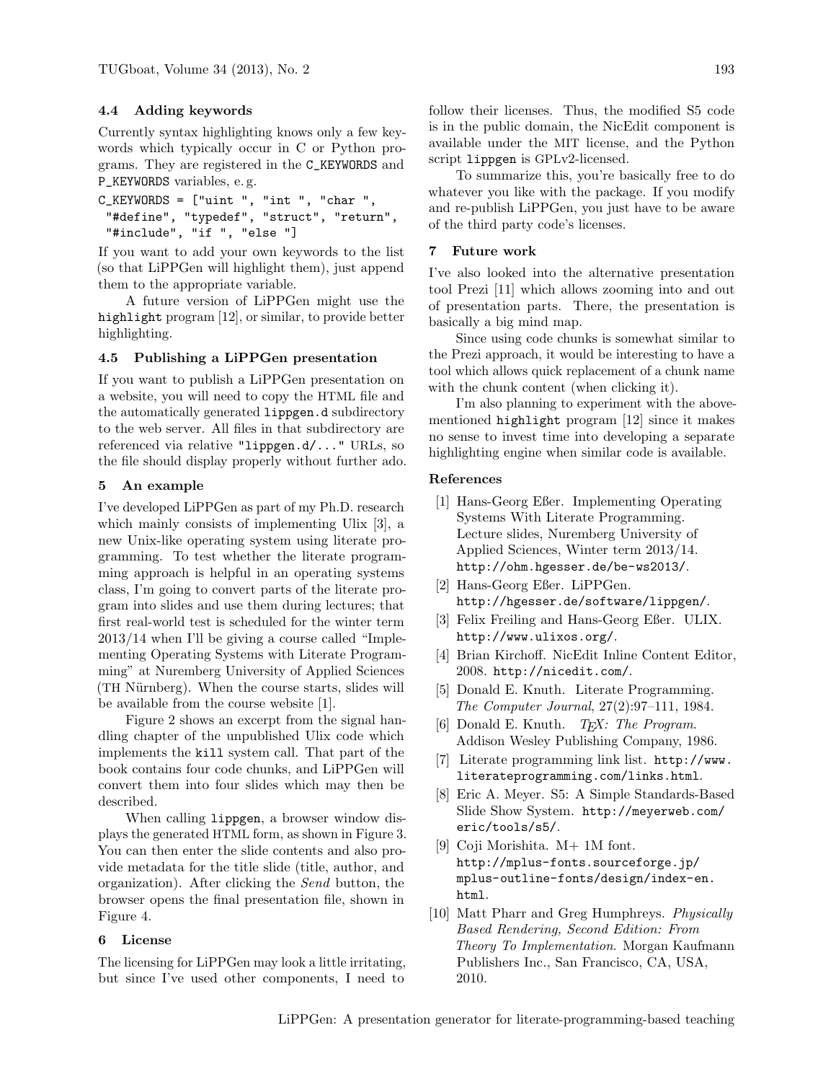## 4.4 Adding keywords

Currently syntax highlighting knows only a few keywords which typically occur in C or Python programs. They are registered in the C\_KEYWORDS and P\_KEYWORDS variables, e. g.

```
C_KEYWORDS = ["uint ", "int ", "char ",
 "#define", "typedef", "struct", "return",
 "#include", "if ", "else "]
```
If you want to add your own keywords to the list (so that LiPPGen will highlight them), just append them to the appropriate variable.

A future version of LiPPGen might use the highlight program [\[12\]](#page-4-1), or similar, to provide better highlighting.

#### 4.5 Publishing a LiPPGen presentation

If you want to publish a LiPPGen presentation on a website, you will need to copy the HTML file and the automatically generated lippgen.d subdirectory to the web server. All files in that subdirectory are referenced via relative "lippgen.d/..." URLs, so the file should display properly without further ado.

# 5 An example

I've developed LiPPGen as part of my Ph.D. research which mainly consists of implementing Ulix [\[3\]](#page-3-8), a new Unix-like operating system using literate programming. To test whether the literate programming approach is helpful in an operating systems class, I'm going to convert parts of the literate program into slides and use them during lectures; that first real-world test is scheduled for the winter term 2013/14 when I'll be giving a course called "Implementing Operating Systems with Literate Programming" at Nuremberg University of Applied Sciences (TH Nürnberg). When the course starts, slides will be available from the course website [\[1\]](#page-3-9).

Figure [2](#page-4-2) shows an excerpt from the signal handling chapter of the unpublished Ulix code which implements the kill system call. That part of the book contains four code chunks, and LiPPGen will convert them into four slides which may then be described.

When calling lippgen, a browser window displays the generated HTML form, as shown in Figure [3.](#page-5-0) You can then enter the slide contents and also provide metadata for the title slide (title, author, and organization). After clicking the Send button, the browser opens the final presentation file, shown in Figure [4.](#page-5-1)

#### 6 License

The licensing for LiPPGen may look a little irritating, but since I've used other components, I need to

follow their licenses. Thus, the modified S5 code is in the public domain, the NicEdit component is available under the MIT license, and the Python script lippgen is GPLv2-licensed.

To summarize this, you're basically free to do whatever you like with the package. If you modify and re-publish LiPPGen, you just have to be aware of the third party code's licenses.

#### 7 Future work

I've also looked into the alternative presentation tool Prezi [\[11\]](#page-4-3) which allows zooming into and out of presentation parts. There, the presentation is basically a big mind map.

Since using code chunks is somewhat similar to the Prezi approach, it would be interesting to have a tool which allows quick replacement of a chunk name with the chunk content (when clicking it).

I'm also planning to experiment with the abovementioned highlight program [\[12\]](#page-4-1) since it makes no sense to invest time into developing a separate highlighting engine when similar code is available.

#### References

- <span id="page-3-9"></span>[1] Hans-Georg Eßer. Implementing Operating Systems With Literate Programming. Lecture slides, Nuremberg University of Applied Sciences, Winter term 2013/14. <http://ohm.hgesser.de/be-ws2013/>.
- <span id="page-3-4"></span>[2] Hans-Georg Eßer. LiPPGen. <http://hgesser.de/software/lippgen/>.
- <span id="page-3-8"></span>[3] Felix Freiling and Hans-Georg Eßer. ULIX. <http://www.ulixos.org/>.
- <span id="page-3-6"></span>[4] Brian Kirchoff. NicEdit Inline Content Editor, 2008. <http://nicedit.com/>.
- <span id="page-3-0"></span>[5] Donald E. Knuth. Literate Programming. The Computer Journal, 27(2):97–111, 1984.
- <span id="page-3-1"></span>[6] Donald E. Knuth.  $T_F X$ : The Program. Addison Wesley Publishing Company, 1986.
- <span id="page-3-3"></span>[7] Literate programming link list. [http://www.](http://www.literateprogramming.com/links.html) [literateprogramming.com/links.html](http://www.literateprogramming.com/links.html).
- <span id="page-3-5"></span>[8] Eric A. Meyer. S5: A Simple Standards-Based Slide Show System. [http://meyerweb.com/](http://meyerweb.com/eric/tools/s5/) [eric/tools/s5/](http://meyerweb.com/eric/tools/s5/).
- <span id="page-3-7"></span>[9] Coji Morishita. M+ 1M font. [http://mplus-fonts.sourceforge.jp/](http://mplus-fonts.sourceforge.jp/mplus-outline-fonts/design/index-en.html) [mplus-outline-fonts/design/index-en.](http://mplus-fonts.sourceforge.jp/mplus-outline-fonts/design/index-en.html) [html](http://mplus-fonts.sourceforge.jp/mplus-outline-fonts/design/index-en.html).
- <span id="page-3-2"></span>[10] Matt Pharr and Greg Humphreys. Physically Based Rendering, Second Edition: From Theory To Implementation. Morgan Kaufmann Publishers Inc., San Francisco, CA, USA, 2010.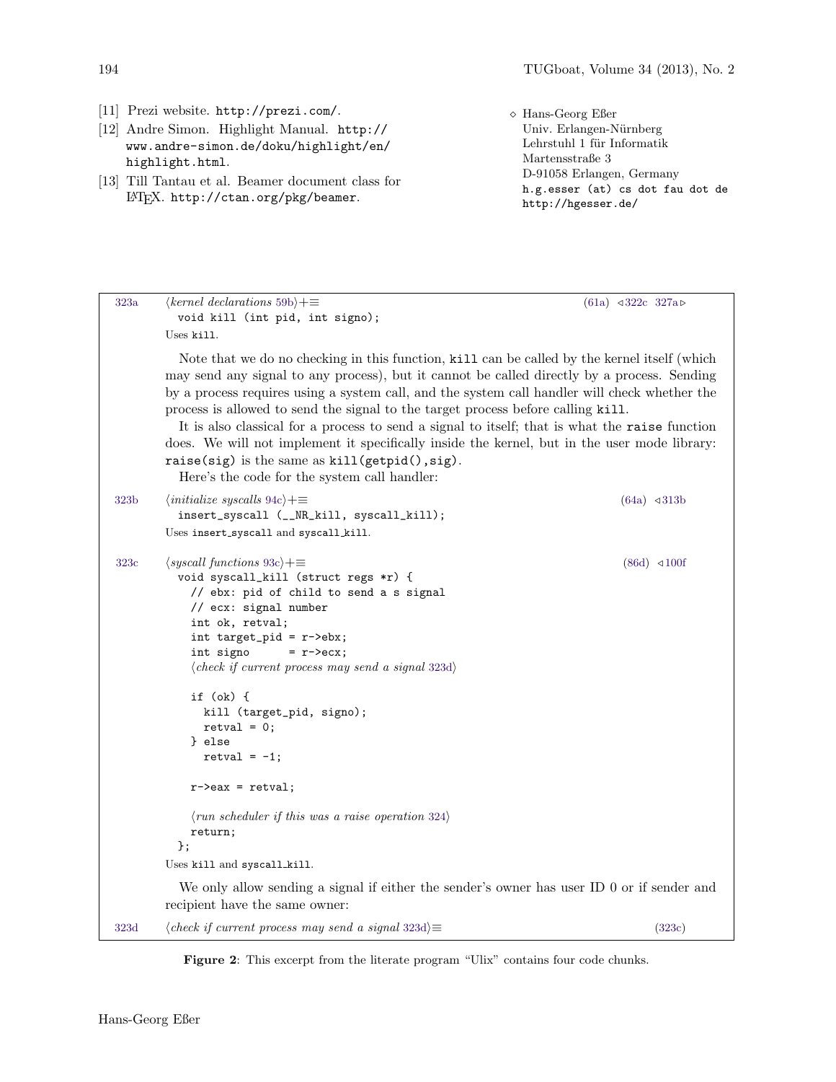- <span id="page-4-3"></span>[11] Prezi website. <http://prezi.com/>.
- <span id="page-4-1"></span>[12] Andre Simon. Highlight Manual. [http://](http://www.andre-simon.de/doku/highlight/en/highlight.html) [www.andre-simon.de/doku/highlight/en/](http://www.andre-simon.de/doku/highlight/en/highlight.html) [highlight.html](http://www.andre-simon.de/doku/highlight/en/highlight.html).
- <span id="page-4-0"></span>[13] Till Tantau et al. Beamer document class for L<sup>A</sup>TEX. <http://ctan.org/pkg/beamer>.

```
 Hans-Georg Eßer
  Univ. Erlangen-Nürnberg
  Lehrstuhl 1 für Informatik
  Martensstraße 3
  D-91058 Erlangen, Germany
 h.g.esser (at) cs dot fau dot de
 http://hgesser.de/
```

```
323a \quad (kernel\,\, 59b) + \equiv (61a) \triangleleft 322c \ 327avoid kill (int pid, int signo);
        Uses kill.
          Note that we do no checking in this function, kill can be called by the kernel itself (which
        may send any signal to any process), but it cannot be called directly by a process. Sending
        by a process requires using a system call, and the system call handler will check whether the
        process is allowed to send the signal to the target process before calling kill.
          It is also classical for a process to send a signal to itself; that is what the raise function
        does. We will not implement it specifically inside the kernel, but in the user mode library:
        raise(sig) is the same as kill(getpid(), sig).
          Here's the code for the system call handler:
323b \langle \text{initialize \, sys} \text{ calls } 94c \rangle + \equiv (64a) \triangleleft 313binsert_syscall (__NR_kill, syscall_kill);
        Uses insert_syscall and syscall_kill.
323c \langle \textit{syscall functions } 93c \rangle + \equiv (86d) \triangleleft 100fvoid syscall_kill (struct regs *r) {
            // ebx: pid of child to send a s signal
            // ecx: signal number
            int ok, retval;
            int target_pid = r->ebx;
            int signo = r->ecx;
            \langle check\ if\ current\ process\ may\ send\ a\ signal\ 323d\rangleif (ok) {
              kill (target_pid, signo);
              retval = 0;} else
               retval = -1;
            r->eax = retval;
            \langle run \; scheduler \; if \; this \; was \; a \; raise \; operation \; 324 \ranglereturn;
          };
        Uses kill and syscall kill.
          We only allow sending a signal if either the sender's owner has user ID 0 or if sender and
        recipient have the same owner:
323d \langle check\ if\ current\ process\ may\ send\ a\ signal\ 323d\rangle \equiv (323c)
          // TO DO!
```
<span id="page-4-2"></span>Figure 2: This excerpt from the literate program "Ulix" contains four code chunks.